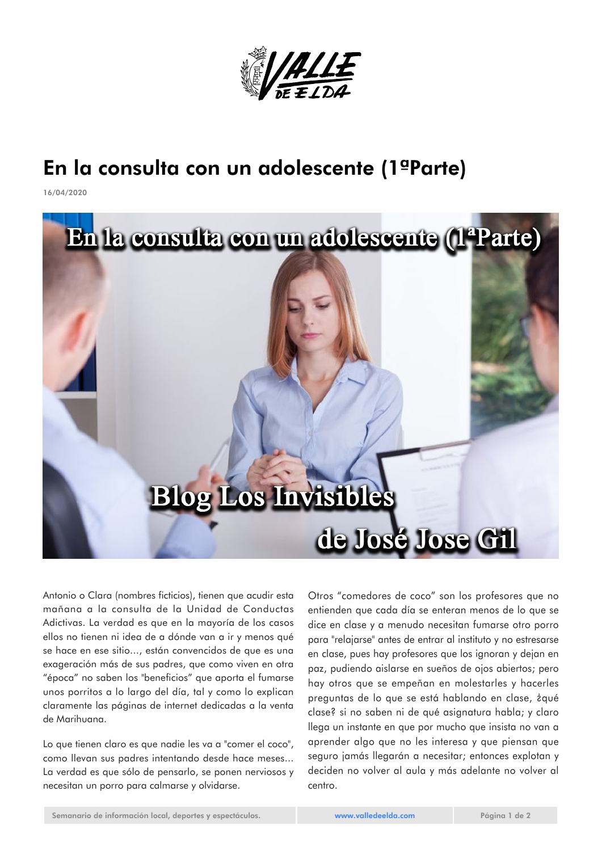

## En la consulta con un adolescente (1ªParte)

16/04/2020



Antonio o Clara (nombres ficticios), tienen que acudir esta mañana a la consulta de la Unidad de Conductas Adictivas. La verdad es que en la mayoría de los casos ellos no tienen ni idea de a dónde van a ir y menos qué se hace en ese sitio..., están convencidos de que es una exageración más de sus padres, que como viven en otra "época" no saben los "beneficios" que aporta el fumarse unos porritos a lo largo del día, tal y como lo explican claramente las páginas de internet dedicadas a la venta de Marihuana.

Lo que tienen claro es que nadie les va a "comer el coco", como llevan sus padres intentando desde hace meses... La verdad es que sólo de pensarlo, se ponen nerviosos y necesitan un porro para calmarse y olvidarse.

Otros "comedores de coco" son los profesores que no entienden que cada día se enteran menos de lo que se dice en clase y a menudo necesitan fumarse otro porro para "relajarse" antes de entrar al instituto y no estresarse en clase, pues hay profesores que los ignoran y dejan en paz, pudiendo aislarse en sueños de ojos abiertos; pero hay otros que se empeñan en molestarles y hacerles preguntas de lo que se está hablando en clase, ¿qué clase? si no saben ni de qué asignatura habla; y claro llega un instante en que por mucho que insista no van a aprender algo que no les interesa y que piensan que seguro jamás llegarán a necesitar; entonces explotan y deciden no volver al aula y más adelante no volver al centro.